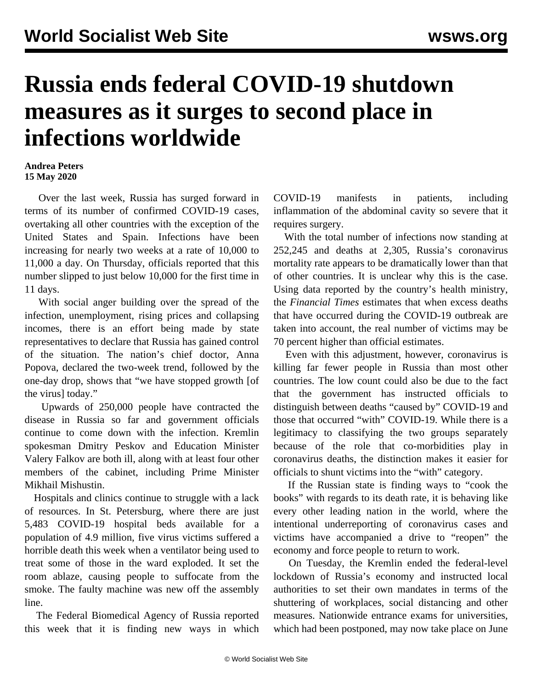## **Russia ends federal COVID-19 shutdown measures as it surges to second place in infections worldwide**

## **Andrea Peters 15 May 2020**

 Over the last week, Russia has surged forward in terms of its number of confirmed COVID-19 cases, overtaking all other countries with the exception of the United States and Spain. Infections have been increasing for nearly two weeks at a rate of 10,000 to 11,000 a day. On Thursday, officials reported that this number slipped to just below 10,000 for the first time in 11 days.

 With social anger building over the spread of the infection, unemployment, rising prices and collapsing incomes, there is an effort being made by state representatives to declare that Russia has gained control of the situation. The nation's chief doctor, Anna Popova, declared the two-week trend, followed by the one-day drop, shows that "we have stopped growth [of the virus] today."

 Upwards of 250,000 people have contracted the disease in Russia so far and government officials continue to come down with the infection. Kremlin spokesman Dmitry Peskov and Education Minister Valery Falkov are both ill, along with at least four other members of the cabinet, including Prime Minister Mikhail Mishustin.

 Hospitals and clinics continue to struggle with a lack of resources. In St. Petersburg, where there are just 5,483 COVID-19 hospital beds available for a population of 4.9 million, five virus victims suffered a horrible death this week when a ventilator being used to treat some of those in the ward exploded. It set the room ablaze, causing people to suffocate from the smoke. The faulty machine was new off the assembly line.

 The Federal Biomedical Agency of Russia reported this week that it is finding new ways in which COVID-19 manifests in patients, including inflammation of the abdominal cavity so severe that it requires surgery.

 With the total number of infections now standing at 252,245 and deaths at 2,305, Russia's coronavirus mortality rate appears to be dramatically lower than that of other countries. It is unclear why this is the case. Using data reported by the country's health ministry, the *Financial Times* estimates that when excess deaths that have occurred during the COVID-19 outbreak are taken into account, the real number of victims may be 70 percent higher than official estimates.

 Even with this adjustment, however, coronavirus is killing far fewer people in Russia than most other countries. The low count could also be due to the fact that the government has instructed officials to distinguish between deaths "caused by" COVID-19 and those that occurred "with" COVID-19. While there is a legitimacy to classifying the two groups separately because of the role that co-morbidities play in coronavirus deaths, the distinction makes it easier for officials to shunt victims into the "with" category.

 If the Russian state is finding ways to "cook the books" with regards to its death rate, it is behaving like every other leading nation in the world, where the intentional underreporting of coronavirus cases and victims have accompanied a drive to "reopen" the economy and force people to return to work.

 On Tuesday, the Kremlin ended the federal-level lockdown of Russia's economy and instructed local authorities to set their own mandates in terms of the shuttering of workplaces, social distancing and other measures. Nationwide entrance exams for universities, which had been postponed, may now take place on June